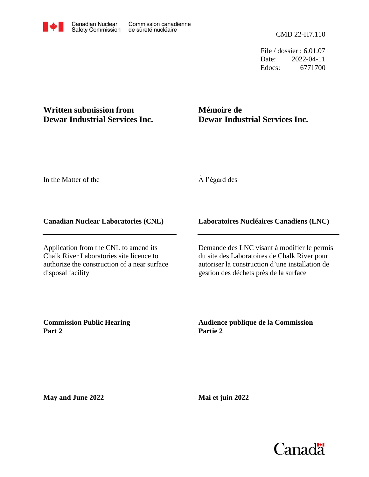File / dossier : 6.01.07 Date: 2022-04-11 Edocs: 6771700

## **Written submission from Dewar Industrial Services Inc.**

# **Mémoire de Dewar Industrial Services Inc.**

In the Matter of the

À l'égard des

#### **Canadian Nuclear Laboratories (CNL)**

Application from the CNL to amend its Chalk River Laboratories site licence to authorize the construction of a near surface disposal facility

### **Laboratoires Nucléaires Canadiens (LNC)**

Demande des LNC visant à modifier le permis du site des Laboratoires de Chalk River pour autoriser la construction d'une installation de gestion des déchets près de la surface

**Commission Public Hearing Part 2**

**Audience publique de la Commission Partie 2**

**May and June 2022**

**Mai et juin 2022**